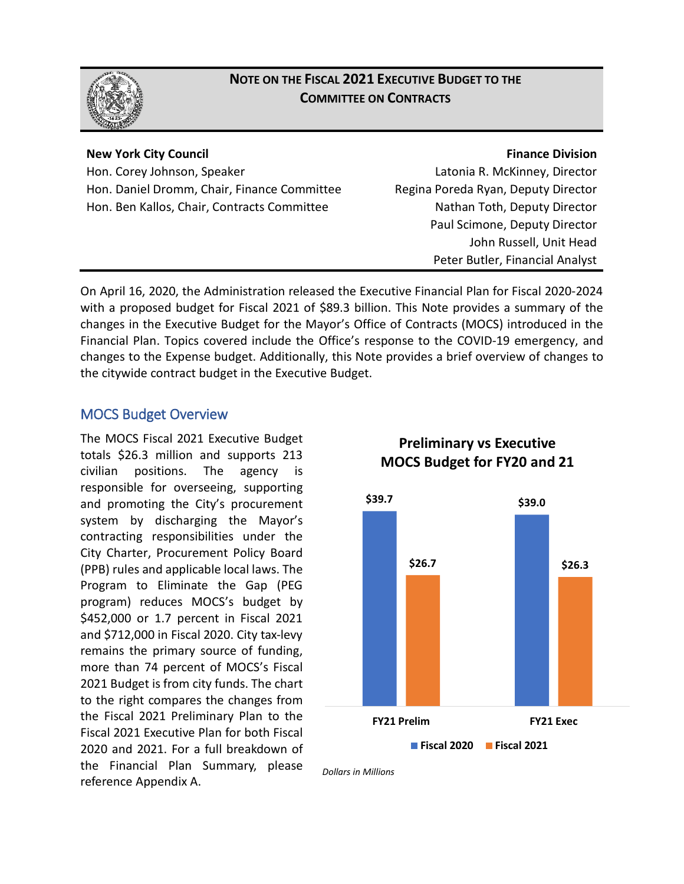

## **NOTE ON THE FISCAL 2021 EXECUTIVE BUDGET TO THE COMMITTEE ON CONTRACTS**

#### **New York City Council**

Hon. Corey Johnson, Speaker Hon. Daniel Dromm, Chair, Finance Committee Hon. Ben Kallos, Chair, Contracts Committee

#### **Finance Division**

Latonia R. McKinney, Director Regina Poreda Ryan, Deputy Director Nathan Toth, Deputy Director Paul Scimone, Deputy Director John Russell, Unit Head Peter Butler, Financial Analyst

On April 16, 2020, the Administration released the Executive Financial Plan for Fiscal 2020-2024 with a proposed budget for Fiscal 2021 of \$89.3 billion. This Note provides a summary of the changes in the Executive Budget for the Mayor's Office of Contracts (MOCS) introduced in the Financial Plan. Topics covered include the Office's response to the COVID-19 emergency, and changes to the Expense budget. Additionally, this Note provides a brief overview of changes to the citywide contract budget in the Executive Budget.

## MOCS Budget Overview

The MOCS Fiscal 2021 Executive Budget totals \$26.3 million and supports 213 civilian positions. The agency is responsible for overseeing, supporting and promoting the City's procurement system by discharging the Mayor's contracting responsibilities under the City Charter, Procurement Policy Board (PPB) rules and applicable local laws. The Program to Eliminate the Gap (PEG program) reduces MOCS's budget by \$452,000 or 1.7 percent in Fiscal 2021 and \$712,000 in Fiscal 2020. City tax-levy remains the primary source of funding, more than 74 percent of MOCS's Fiscal 2021 Budget is from city funds. The chart to the right compares the changes from the Fiscal 2021 Preliminary Plan to the Fiscal 2021 Executive Plan for both Fiscal 2020 and 2021. For a full breakdown of the Financial Plan Summary, please reference Appendix A.



**Preliminary vs Executive MOCS Budget for FY20 and 21**

*Dollars in Millions*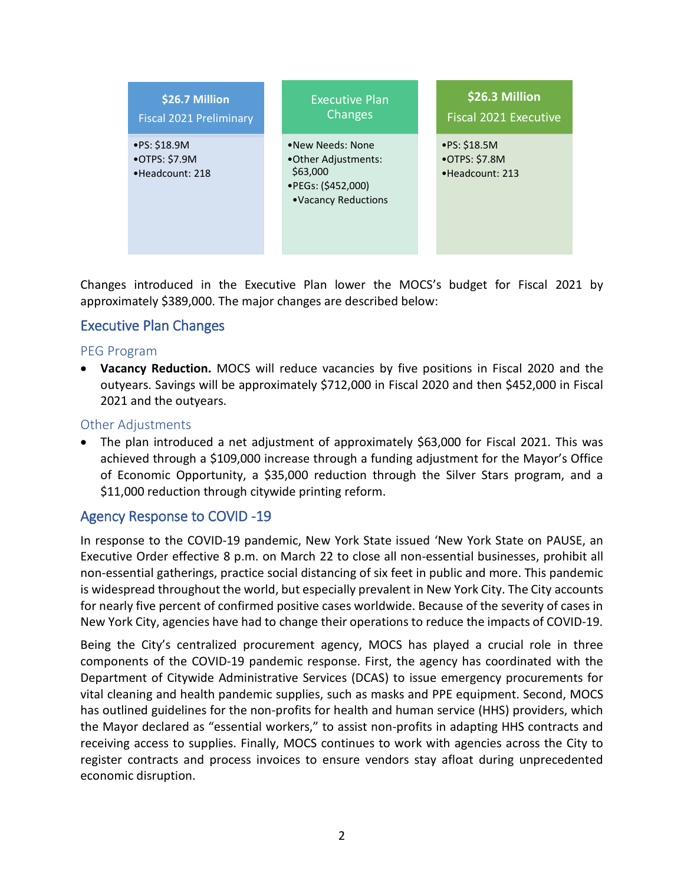

Changes introduced in the Executive Plan lower the MOCS's budget for Fiscal 2021 by approximately \$389,000. The major changes are described below:

## Executive Plan Changes

#### PEG Program

• **Vacancy Reduction.** MOCS will reduce vacancies by five positions in Fiscal 2020 and the outyears. Savings will be approximately \$712,000 in Fiscal 2020 and then \$452,000 in Fiscal 2021 and the outyears.

#### Other Adjustments

• The plan introduced a net adjustment of approximately \$63,000 for Fiscal 2021. This was achieved through a \$109,000 increase through a funding adjustment for the Mayor's Office of Economic Opportunity, a \$35,000 reduction through the Silver Stars program, and a \$11,000 reduction through citywide printing reform.

## Agency Response to COVID -19

In response to the COVID-19 pandemic, New York State issued 'New York State on PAUSE, an Executive Order effective 8 p.m. on March 22 to close all non-essential businesses, prohibit all non-essential gatherings, practice social distancing of six feet in public and more. This pandemic is widespread throughout the world, but especially prevalent in New York City. The City accounts for nearly five percent of confirmed positive cases worldwide. Because of the severity of cases in New York City, agencies have had to change their operations to reduce the impacts of COVID-19.

Being the City's centralized procurement agency, MOCS has played a crucial role in three components of the COVID-19 pandemic response. First, the agency has coordinated with the Department of Citywide Administrative Services (DCAS) to issue emergency procurements for vital cleaning and health pandemic supplies, such as masks and PPE equipment. Second, MOCS has outlined guidelines for the non-profits for health and human service (HHS) providers, which the Mayor declared as "essential workers," to assist non-profits in adapting HHS contracts and receiving access to supplies. Finally, MOCS continues to work with agencies across the City to register contracts and process invoices to ensure vendors stay afloat during unprecedented economic disruption.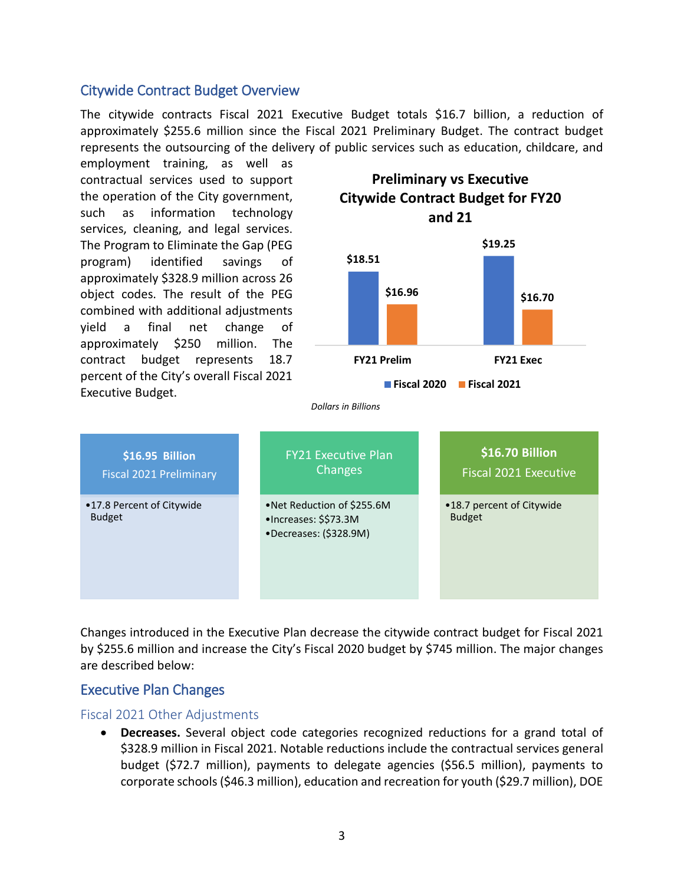## Citywide Contract Budget Overview

The citywide contracts Fiscal 2021 Executive Budget totals \$16.7 billion, a reduction of approximately \$255.6 million since the Fiscal 2021 Preliminary Budget. The contract budget represents the outsourcing of the delivery of public services such as education, childcare, and

employment training, as well as contractual services used to support the operation of the City government, such as information technology services, cleaning, and legal services. The Program to Eliminate the Gap (PEG program) identified savings of approximately \$328.9 million across 26 object codes. The result of the PEG combined with additional adjustments yield a final net change of approximately \$250 million. The contract budget represents 18.7 percent of the City's overall Fiscal 2021 Executive Budget.



**Preliminary vs Executive Citywide Contract Budget for FY20 and 21**

*Dollars in Billions*

| \$16.95 Billion<br><b>Fiscal 2021 Preliminary</b> | <b>FY21 Executive Plan</b><br>Changes                                                  | \$16.70 Billion<br><b>Fiscal 2021 Executive</b> |  |  |
|---------------------------------------------------|----------------------------------------------------------------------------------------|-------------------------------------------------|--|--|
| •17.8 Percent of Citywide<br><b>Budget</b>        | •Net Reduction of \$255.6M<br>$\bullet$ Increases: \$\$73.3M<br>•Decreases: (\$328.9M) | •18.7 percent of Citywide<br><b>Budget</b>      |  |  |

Changes introduced in the Executive Plan decrease the citywide contract budget for Fiscal 2021 by \$255.6 million and increase the City's Fiscal 2020 budget by \$745 million. The major changes are described below:

## Executive Plan Changes

#### Fiscal 2021 Other Adjustments

• **Decreases.** Several object code categories recognized reductions for a grand total of \$328.9 million in Fiscal 2021. Notable reductions include the contractual services general budget (\$72.7 million), payments to delegate agencies (\$56.5 million), payments to corporate schools (\$46.3 million), education and recreation for youth (\$29.7 million), DOE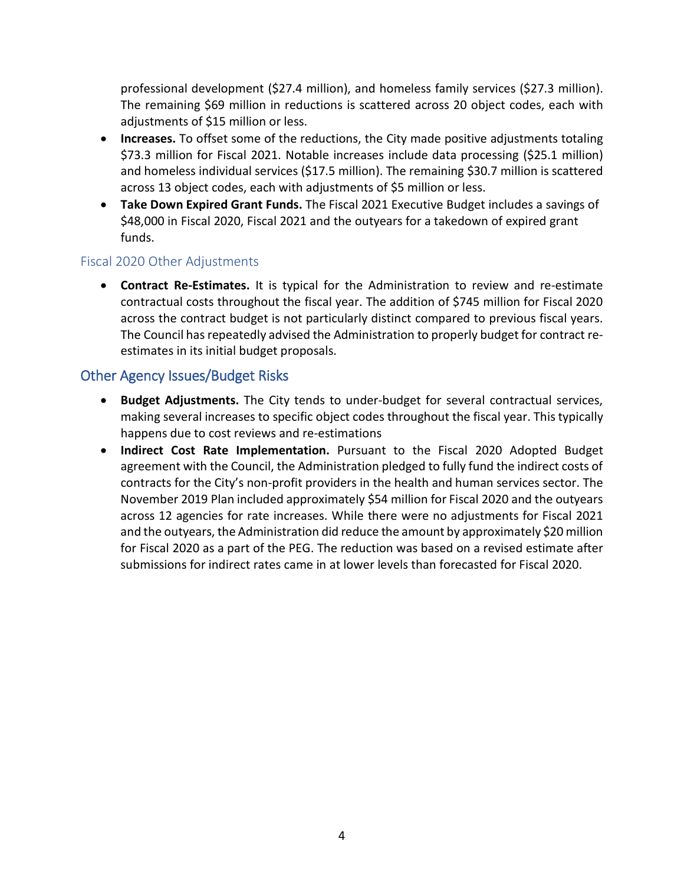professional development (\$27.4 million), and homeless family services (\$27.3 million). The remaining \$69 million in reductions is scattered across 20 object codes, each with adjustments of \$15 million or less.

- **Increases.** To offset some of the reductions, the City made positive adjustments totaling \$73.3 million for Fiscal 2021. Notable increases include data processing (\$25.1 million) and homeless individual services (\$17.5 million). The remaining \$30.7 million is scattered across 13 object codes, each with adjustments of \$5 million or less.
- **Take Down Expired Grant Funds.** The Fiscal 2021 Executive Budget includes a savings of \$48,000 in Fiscal 2020, Fiscal 2021 and the outyears for a takedown of expired grant funds.

## Fiscal 2020 Other Adjustments

• **Contract Re-Estimates.** It is typical for the Administration to review and re-estimate contractual costs throughout the fiscal year. The addition of \$745 million for Fiscal 2020 across the contract budget is not particularly distinct compared to previous fiscal years. The Council has repeatedly advised the Administration to properly budget for contract reestimates in its initial budget proposals.

## Other Agency Issues/Budget Risks

- **Budget Adjustments.** The City tends to under-budget for several contractual services, making several increases to specific object codes throughout the fiscal year. This typically happens due to cost reviews and re-estimations
- **Indirect Cost Rate Implementation.** Pursuant to the Fiscal 2020 Adopted Budget agreement with the Council, the Administration pledged to fully fund the indirect costs of contracts for the City's non-profit providers in the health and human services sector. The November 2019 Plan included approximately \$54 million for Fiscal 2020 and the outyears across 12 agencies for rate increases. While there were no adjustments for Fiscal 2021 and the outyears, the Administration did reduce the amount by approximately \$20 million for Fiscal 2020 as a part of the PEG. The reduction was based on a revised estimate after submissions for indirect rates came in at lower levels than forecasted for Fiscal 2020.